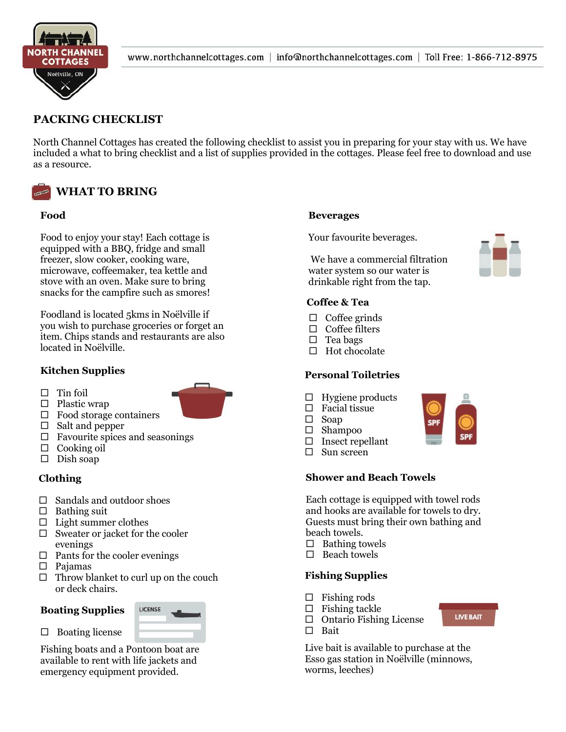

# **PACKING CHECKLIST**

North Channel Cottages has created the following checklist to assist you in preparing for your stay with us. We have included a what to bring checklist and a list of supplies provided in the cottages. Please feel free to download and use as a resource.



#### **Food**  $\mathbf{p}_0$  to enjoy your stay  $\mathbf{p}_1$

Food to enjoy your stay! Each cottage is equipped with a BBQ, fridge and small freezer, slow cooker, cooking ware, microwave, coffeemaker, tea kettle and stove with an oven. Make sure to bring snacks for the campfire such as smores!

Foodland is located 5kms in Noëlville if you wish to purchase groceries or forget an purchase groceries or forget item. Chips stands and restaurants are also located in Noëlville.

# Kitchen Supplies

 $\Box$  Tin foil



- $\Box$  Plastic wrap
- $\Box$  Food storage containers
- $\Box$  Salt and pepper
- $\Box$  Favourite spices and seasonings
- $\Box$  Cooking oil
- $\square$  Dish soap

# **Clothing**

- $\square$  Sandals and outdoor shoes
- $\Box$  Bathing suit
- $\Box$  Light summer clothes
- $\Box$  Sweater or jacket for the cooler evenings
- $\Box$  Pants for the cooler evenings
- $\square$  Pajamas
- $\Box$  Throw blanket to curl up on the couch or deck chairs.

# **Boating Supplies**

 $\Box$  Boating license



Fishing boats and a Pontoon boat are available to rent with life jackets and emergency equipment provided.

#### **Beverages**

Your favourite beverages.

We have a commercial filtration water system so our water is drinkable right from the tap.

# **Coffee & Tea**

- $\Box$  Coffee grinds
- $\Box$  Coffee filters
- $\square$  Tea bags
- $\Box$  Hot chocolate

# **Personal Toiletries**

- $\Box$  Hygiene products
- $\Box$  Facial tissue
- $\square$  Soap
- $\square$  Shampoo
- $\square$  Insect repellant
- $\square$  Sun screen

# **Shower and Beach Towels**

Each cottage is equipped with towel rods and hooks are available for towels to dry. Guests must bring their own bathing and beach towels.

- $\square$  Bathing towels
- $\Box$  Beach towels

# **Fishing Supplies**

- $\Box$  Fishing rods
- $\Box$  Fishing tackle
- $\Box$  Ontario Fishing License
- □ Bait

Live bait is available to purchase at the Esso gas station in Noëlville (minnows, worms, leeches)

**LIVE BAIT**